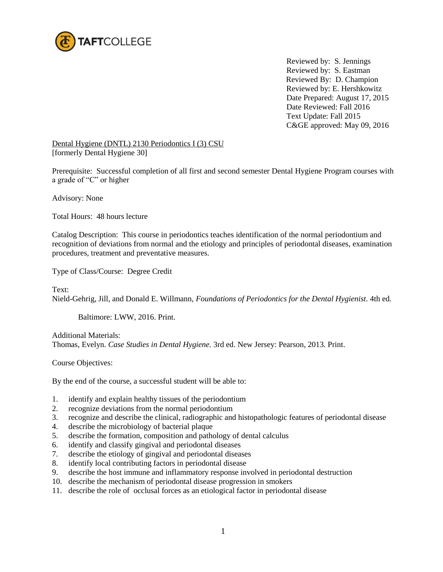

Reviewed by: S. Jennings Reviewed by: S. Eastman Reviewed By: D. Champion Reviewed by: E. Hershkowitz Date Prepared: August 17, 2015 Date Reviewed: Fall 2016 Text Update: Fall 2015 C&GE approved: May 09, 2016

Dental Hygiene (DNTL) 2130 Periodontics I (3) CSU [formerly Dental Hygiene 30]

Prerequisite: Successful completion of all first and second semester Dental Hygiene Program courses with a grade of "C" or higher

Advisory: None

Total Hours: 48 hours lecture

Catalog Description: This course in periodontics teaches identification of the normal periodontium and recognition of deviations from normal and the etiology and principles of periodontal diseases, examination procedures, treatment and preventative measures.

Type of Class/Course: Degree Credit

Text: Nield-Gehrig, Jill, and Donald E. Willmann, *Foundations of Periodontics for the Dental Hygienist.* 4th ed*.* 

Baltimore: LWW, 2016. Print.

Additional Materials: Thomas, Evelyn. *Case Studies in Dental Hygiene.* 3rd ed. New Jersey: Pearson, 2013. Print.

Course Objectives:

By the end of the course, a successful student will be able to:

- 1. identify and explain healthy tissues of the periodontium
- 2. recognize deviations from the normal periodontium
- 3. recognize and describe the clinical, radiographic and histopathologic features of periodontal disease
- 4. describe the microbiology of bacterial plaque
- 5. describe the formation, composition and pathology of dental calculus
- 6. identify and classify gingival and periodontal diseases
- 7. describe the etiology of gingival and periodontal diseases
- 8. identify local contributing factors in periodontal disease
- 9. describe the host immune and inflammatory response involved in periodontal destruction
- 10. describe the mechanism of periodontal disease progression in smokers
- 11. describe the role of occlusal forces as an etiological factor in periodontal disease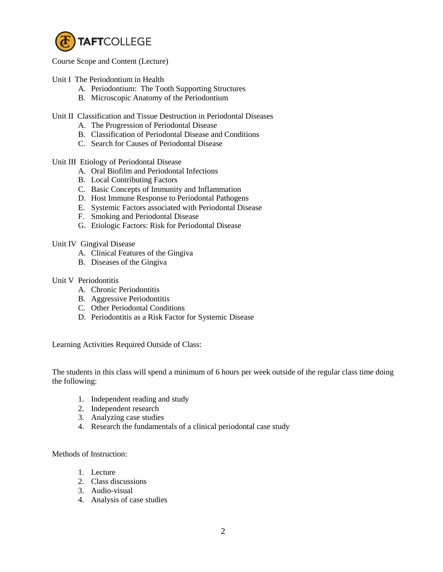

Course Scope and Content (Lecture)

Unit I The Periodontium in Health

- A. Periodontium: The Tooth Supporting Structures
- B. Microscopic Anatomy of the Periodontium

Unit II Classification and Tissue Destruction in Periodontal Diseases

- A. The Progression of Periodontal Disease
- B. Classification of Periodontal Disease and Conditions
- C. Search for Causes of Periodontal Disease

Unit III Etiology of Periodontal Disease

- A. Oral Biofilm and Periodontal Infections
- B. Local Contributing Factors
- C. Basic Concepts of Immunity and Inflammation
- D. Host Immune Response to Periodontal Pathogens
- E. Systemic Factors associated with Periodontal Disease
- F. Smoking and Periodontal Disease
- G. Etiologic Factors: Risk for Periodontal Disease

## Unit IV Gingival Disease

- A. Clinical Features of the Gingiva
- B. Diseases of the Gingiva

## Unit V Periodontitis

- A. Chronic Periodontitis
- B. Aggressive Periodontitis
- C. Other Periodontal Conditions
- D. Periodontitis as a Risk Factor for Systemic Disease

Learning Activities Required Outside of Class:

The students in this class will spend a minimum of 6 hours per week outside of the regular class time doing the following:

- 1. Independent reading and study
- 2. Independent research
- 3. Analyzing case studies
- 4. Research the fundamentals of a clinical periodontal case study

Methods of Instruction:

- 1. Lecture
- 2. Class discussions
- 3. Audio-visual
- 4. Analysis of case studies